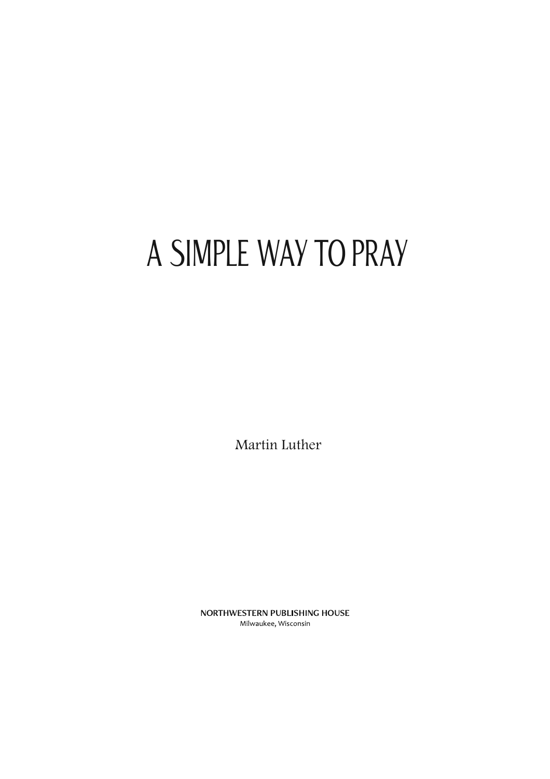# A Simple Way to Pray

Martin Luther

NORTHWESTERN PUBLISHING HOUSE Milwaukee, Wisconsin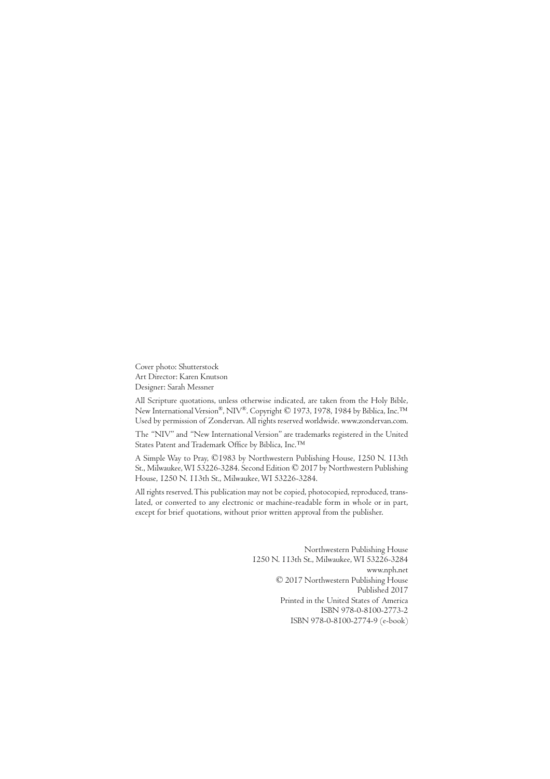Cover photo: Shutterstock Art Director: Karen Knutson Designer: Sarah Messner

All Scripture quotations, unless otherwise indicated, are taken from the Holy Bible, New International Version®, NIV®. Copyright © 1973, 1978, 1984 by Biblica, Inc.™ Used by permission of Zondervan. All rights reserved worldwide. www.zondervan.com.

The "NIV" and "New International Version" are trademarks registered in the United States Patent and Trademark Office by Biblica, Inc.<sup>™</sup>

A Simple Way to Pray, ©1983 by Northwestern Publishing House, 1250 N. 113th St., Milwaukee, WI 53226-3284. Second Edition © 2017 by Northwestern Publishing House, 1250 N. 113th St., Milwaukee, WI 53226-3284.

All rights reserved. This publication may not be copied, photocopied, reproduced, translated, or converted to any electronic or machine-readable form in whole or in part, except for brief quotations, without prior written approval from the publisher.

> Northwestern Publishing House 1250 N. 113th St., Milwaukee, WI 53226-3284 www.nph.net © 2017 Northwestern Publishing House Published 2017 Printed in the United States of America ISBN 978-0-8100-2773-2 ISBN 978-0-8100-2774-9 (e-book)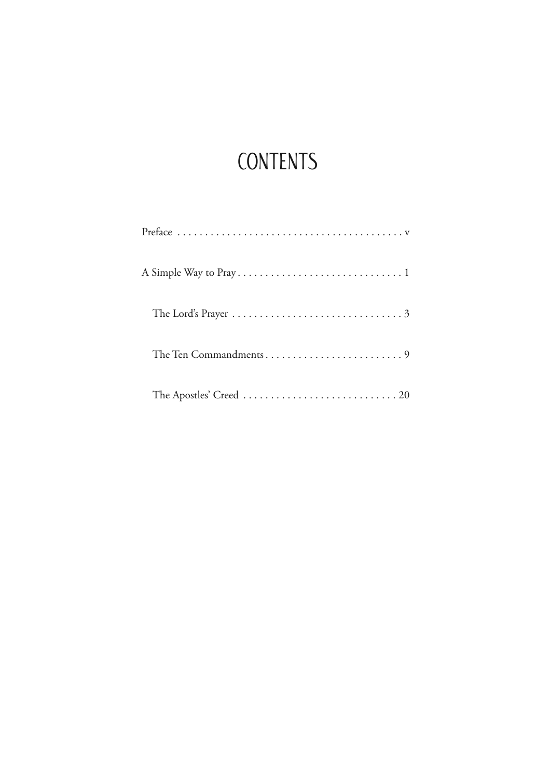# **CONTENTS**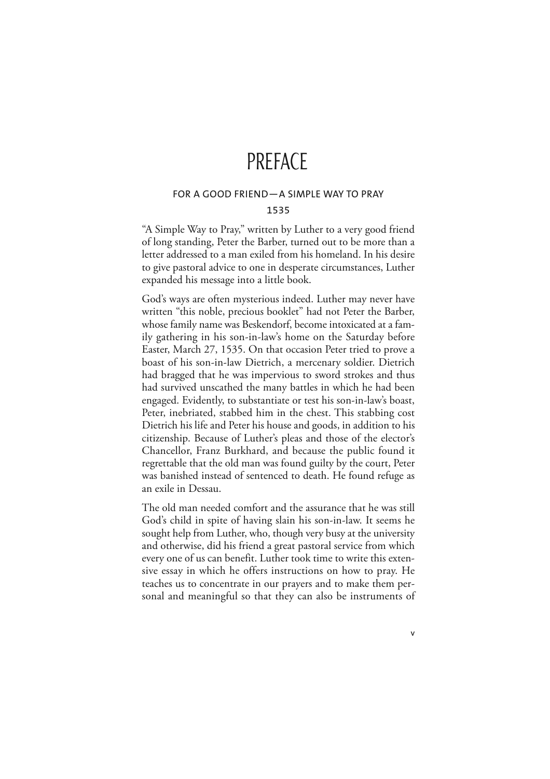## **PREFACE**

#### FOR A GOOD FRIEND—A SIMPLE WAY TO PRAY

#### 1535

"A Simple Way to Pray," written by Luther to a very good friend of long standing, Peter the Barber, turned out to be more than a letter addressed to a man exiled from his homeland. In his desire to give pastoral advice to one in desperate circumstances, Luther expanded his message into a little book.

God's ways are often mysterious indeed. Luther may never have written "this noble, precious booklet" had not Peter the Barber, whose family name was Beskendorf, become intoxicated at a family gathering in his son-in-law's home on the Saturday before Easter, March 27, 1535. On that occasion Peter tried to prove a boast of his son-in-law Dietrich, a mercenary soldier. Dietrich had bragged that he was impervious to sword strokes and thus had survived unscathed the many battles in which he had been engaged. Evidently, to substantiate or test his son-in-law's boast, Peter, inebriated, stabbed him in the chest. This stabbing cost Dietrich his life and Peter his house and goods, in addition to his citizenship. Because of Luther's pleas and those of the elector's Chancellor, Franz Burkhard, and because the public found it regrettable that the old man was found guilty by the court, Peter was banished instead of sentenced to death. He found refuge as an exile in Dessau.

The old man needed comfort and the assurance that he was still God's child in spite of having slain his son-in-law. It seems he sought help from Luther, who, though very busy at the university and otherwise, did his friend a great pastoral service from which every one of us can benefit. Luther took time to write this extensive essay in which he offers instructions on how to pray. He teaches us to concentrate in our prayers and to make them personal and meaningful so that they can also be instruments of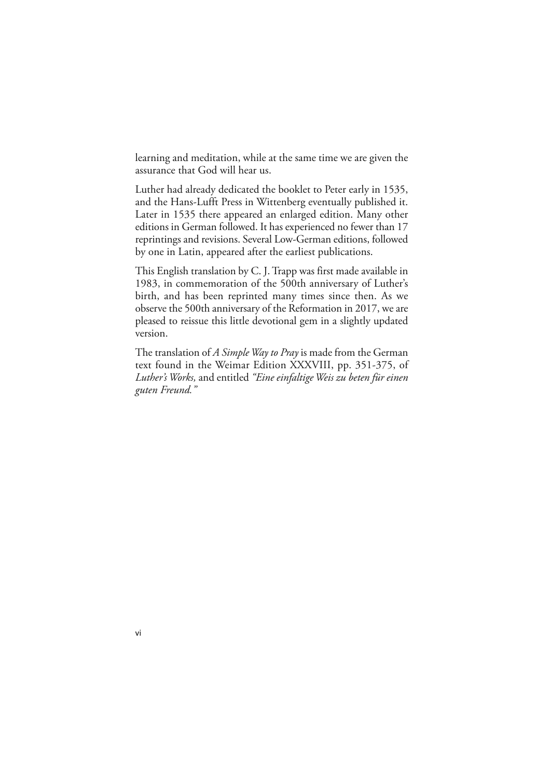learning and meditation, while at the same time we are given the assurance that God will hear us.

Luther had already dedicated the booklet to Peter early in 1535, and the Hans-Lufft Press in Wittenberg eventually published it. Later in 1535 there appeared an enlarged edition. Many other editions in German followed. It has experienced no fewer than 17 reprintings and revisions. Several Low-German editions, followed by one in Latin, appeared after the earliest publications.

This English translation by C. J. Trapp was first made available in 1983, in commemoration of the 500th anniversary of Luther's birth, and has been reprinted many times since then. As we observe the 500th anniversary of the Reformation in 2017, we are pleased to reissue this little devotional gem in a slightly updated version.

The translation of *A Simple Way to Pray* is made from the German text found in the Weimar Edition XXXVIII, pp. 351-375, of *Luther's Works,* and entitled *"Eine einfaltige Weis zu beten für einen guten Freund."*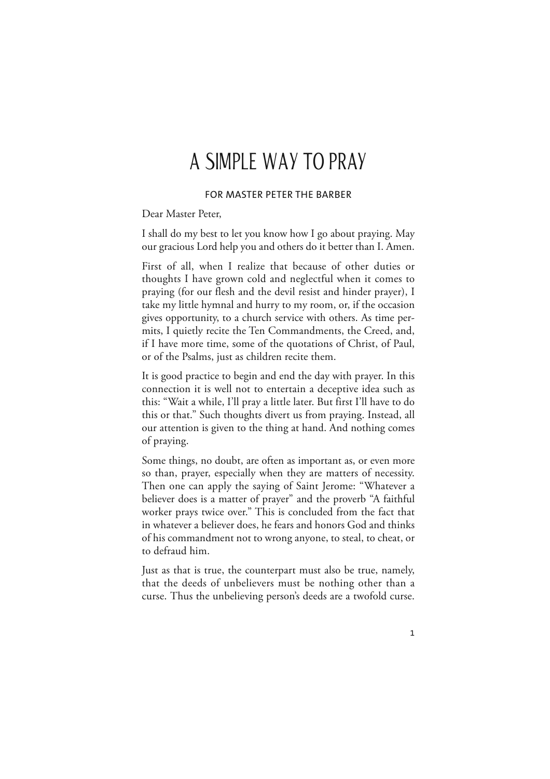# A SIMPLE WAY to Pray

#### FOR MASTER PETER THE BARBER

Dear Master Peter,

I shall do my best to let you know how I go about praying. May our gracious Lord help you and others do it better than I. Amen.

First of all, when I realize that because of other duties or thoughts I have grown cold and neglectful when it comes to praying (for our flesh and the devil resist and hinder prayer), I take my little hymnal and hurry to my room, or, if the occasion gives opportunity, to a church service with others. As time permits, I quietly recite the Ten Commandments, the Creed, and, if I have more time, some of the quotations of Christ, of Paul, or of the Psalms, just as children recite them.

It is good practice to begin and end the day with prayer. In this connection it is well not to entertain a deceptive idea such as this: "Wait a while, I'll pray a little later. But first I'll have to do this or that." Such thoughts divert us from praying. Instead, all our attention is given to the thing at hand. And nothing comes of praying.

Some things, no doubt, are often as important as, or even more so than, prayer, especially when they are matters of necessity. Then one can apply the saying of Saint Jerome: "Whatever a believer does is a matter of prayer" and the proverb "A faithful worker prays twice over." This is concluded from the fact that in whatever a believer does, he fears and honors God and thinks of his commandment not to wrong anyone, to steal, to cheat, or to defraud him.

Just as that is true, the counterpart must also be true, namely, that the deeds of unbelievers must be nothing other than a curse. Thus the unbelieving person's deeds are a twofold curse.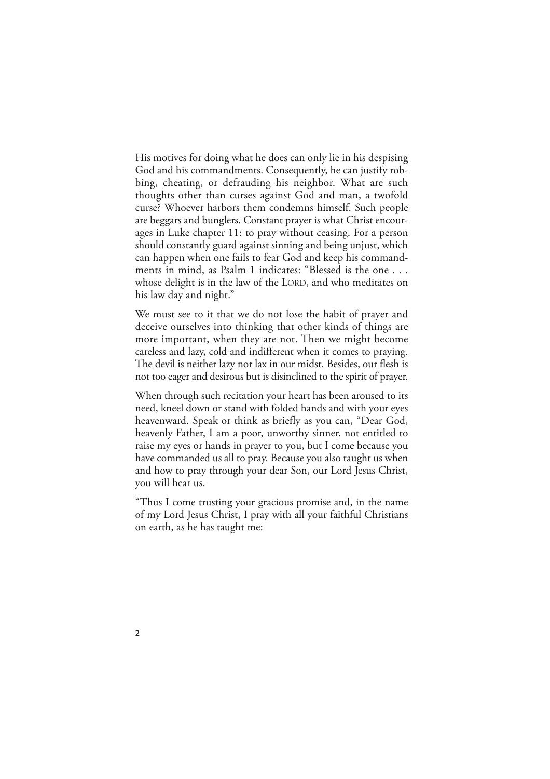His motives for doing what he does can only lie in his despising God and his commandments. Consequently, he can justify robbing, cheating, or defrauding his neighbor. What are such thoughts other than curses against God and man, a twofold curse? Whoever harbors them condemns himself. Such people are beggars and bunglers. Constant prayer is what Christ encourages in Luke chapter 11: to pray without ceasing. For a person should constantly guard against sinning and being unjust, which can happen when one fails to fear God and keep his commandments in mind, as Psalm 1 indicates: "Blessed is the one . . . whose delight is in the law of the LORD, and who meditates on his law day and night."

We must see to it that we do not lose the habit of prayer and deceive ourselves into thinking that other kinds of things are more important, when they are not. Then we might become careless and lazy, cold and indifferent when it comes to praying. The devil is neither lazy nor lax in our midst. Besides, our flesh is not too eager and desirous but is disinclined to the spirit of prayer.

When through such recitation your heart has been aroused to its need, kneel down or stand with folded hands and with your eyes heavenward. Speak or think as briefly as you can, "Dear God, heavenly Father, I am a poor, unworthy sinner, not entitled to raise my eyes or hands in prayer to you, but I come because you have commanded us all to pray. Because you also taught us when and how to pray through your dear Son, our Lord Jesus Christ, you will hear us.

"Thus I come trusting your gracious promise and, in the name of my Lord Jesus Christ, I pray with all your faithful Christians on earth, as he has taught me: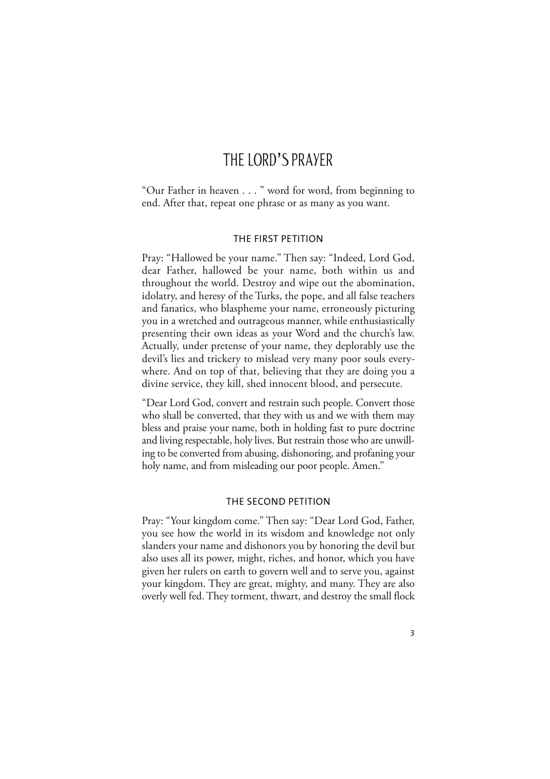### THE LORD'S PRAYER

"Our Father in heaven . . . " word for word, from beginning to end. After that, repeat one phrase or as many as you want.

#### THE FIRST PETITION

Pray: "Hallowed be your name." Then say: "Indeed, Lord God, dear Father, hallowed be your name, both within us and throughout the world. Destroy and wipe out the abomination, idolatry, and heresy of the Turks, the pope, and all false teachers and fanatics, who blaspheme your name, erroneously picturing you in a wretched and outrageous manner, while enthusiastically presenting their own ideas as your Word and the church's law. Actually, under pretense of your name, they deplorably use the devil's lies and trickery to mislead very many poor souls everywhere. And on top of that, believing that they are doing you a divine service, they kill, shed innocent blood, and persecute.

"Dear Lord God, convert and restrain such people. Convert those who shall be converted, that they with us and we with them may bless and praise your name, both in holding fast to pure doctrine and living respectable, holy lives. But restrain those who are unwilling to be converted from abusing, dishonoring, and profaning your holy name, and from misleading our poor people. Amen."

#### THE SECOND PETITION

Pray: "Your kingdom come." Then say: "Dear Lord God, Father, you see how the world in its wisdom and knowledge not only slanders your name and dishonors you by honoring the devil but also uses all its power, might, riches, and honor, which you have given her rulers on earth to govern well and to serve you, against your kingdom. They are great, mighty, and many. They are also overly well fed. They torment, thwart, and destroy the small flock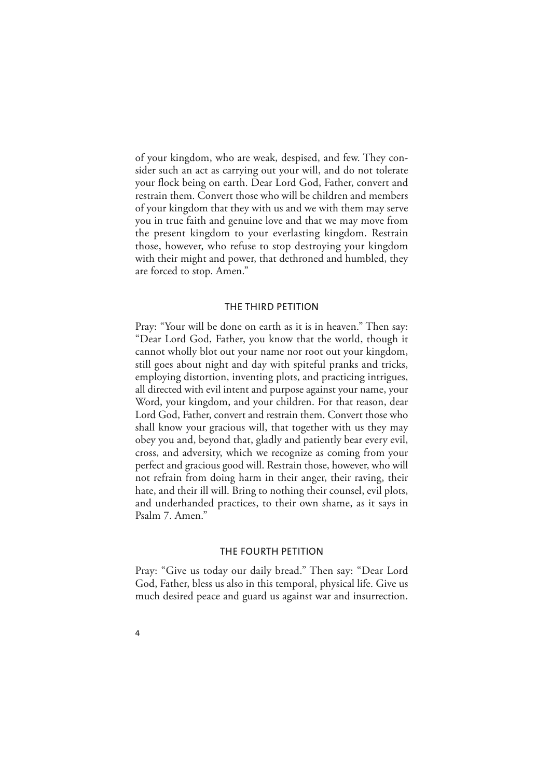of your kingdom, who are weak, despised, and few. They consider such an act as carrying out your will, and do not tolerate your flock being on earth. Dear Lord God, Father, convert and restrain them. Convert those who will be children and members of your kingdom that they with us and we with them may serve you in true faith and genuine love and that we may move from the present kingdom to your everlasting kingdom. Restrain those, however, who refuse to stop destroying your kingdom with their might and power, that dethroned and humbled, they are forced to stop. Amen."

#### THE THIRD PETITION

Pray: "Your will be done on earth as it is in heaven." Then say: "Dear Lord God, Father, you know that the world, though it cannot wholly blot out your name nor root out your kingdom, still goes about night and day with spiteful pranks and tricks, employing distortion, inventing plots, and practicing intrigues, all directed with evil intent and purpose against your name, your Word, your kingdom, and your children. For that reason, dear Lord God, Father, convert and restrain them. Convert those who shall know your gracious will, that together with us they may obey you and, beyond that, gladly and patiently bear every evil, cross, and adversity, which we recognize as coming from your perfect and gracious good will. Restrain those, however, who will not refrain from doing harm in their anger, their raving, their hate, and their ill will. Bring to nothing their counsel, evil plots, and underhanded practices, to their own shame, as it says in Psalm 7. Amen."

#### THE FOURTH PETITION

Pray: "Give us today our daily bread." Then say: "Dear Lord God, Father, bless us also in this temporal, physical life. Give us much desired peace and guard us against war and insurrection.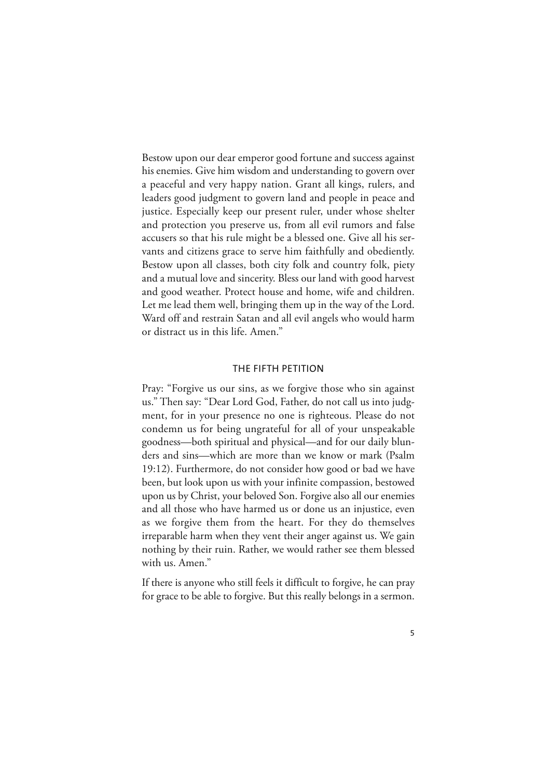Bestow upon our dear emperor good fortune and success against his enemies. Give him wisdom and understanding to govern over a peaceful and very happy nation. Grant all kings, rulers, and leaders good judgment to govern land and people in peace and justice. Especially keep our present ruler, under whose shelter and protection you preserve us, from all evil rumors and false accusers so that his rule might be a blessed one. Give all his servants and citizens grace to serve him faithfully and obediently. Bestow upon all classes, both city folk and country folk, piety and a mutual love and sincerity. Bless our land with good harvest and good weather. Protect house and home, wife and children. Let me lead them well, bringing them up in the way of the Lord. Ward off and restrain Satan and all evil angels who would harm or distract us in this life. Amen."

#### THE FIFTH PETITION

Pray: "Forgive us our sins, as we forgive those who sin against us." Then say: "Dear Lord God, Father, do not call us into judgment, for in your presence no one is righteous. Please do not condemn us for being ungrateful for all of your unspeakable goodness—both spiritual and physical—and for our daily blunders and sins—which are more than we know or mark (Psalm 19:12). Furthermore, do not consider how good or bad we have been, but look upon us with your infinite compassion, bestowed upon us by Christ, your beloved Son. Forgive also all our enemies and all those who have harmed us or done us an injustice, even as we forgive them from the heart. For they do themselves irreparable harm when they vent their anger against us. We gain nothing by their ruin. Rather, we would rather see them blessed with us. Amen."

If there is anyone who still feels it difficult to forgive, he can pray for grace to be able to forgive. But this really belongs in a sermon.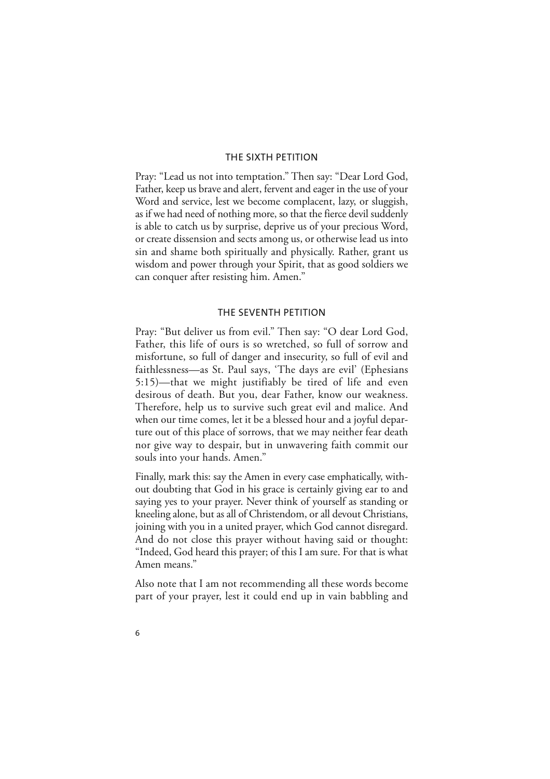#### THE SIXTH PETITION

Pray: "Lead us not into temptation." Then say: "Dear Lord God, Father, keep us brave and alert, fervent and eager in the use of your Word and service, lest we become complacent, lazy, or sluggish, as if we had need of nothing more, so that the fierce devil suddenly is able to catch us by surprise, deprive us of your precious Word, or create dissension and sects among us, or otherwise lead us into sin and shame both spiritually and physically. Rather, grant us wisdom and power through your Spirit, that as good soldiers we can conquer after resisting him. Amen."

#### THE SEVENTH PETITION

Pray: "But deliver us from evil." Then say: "O dear Lord God, Father, this life of ours is so wretched, so full of sorrow and misfortune, so full of danger and insecurity, so full of evil and faithlessness—as St. Paul says, 'The days are evil' (Ephesians 5:15)—that we might justifiably be tired of life and even desirous of death. But you, dear Father, know our weakness. Therefore, help us to survive such great evil and malice. And when our time comes, let it be a blessed hour and a joyful departure out of this place of sorrows, that we may neither fear death nor give way to despair, but in unwavering faith commit our souls into your hands. Amen."

Finally, mark this: say the Amen in every case emphatically, without doubting that God in his grace is certainly giving ear to and saying yes to your prayer. Never think of yourself as standing or kneeling alone, but as all of Christendom, or all devout Christians, joining with you in a united prayer, which God cannot disregard. And do not close this prayer without having said or thought: "Indeed, God heard this prayer; of this I am sure. For that is what Amen means."

Also note that I am not recommending all these words become part of your prayer, lest it could end up in vain babbling and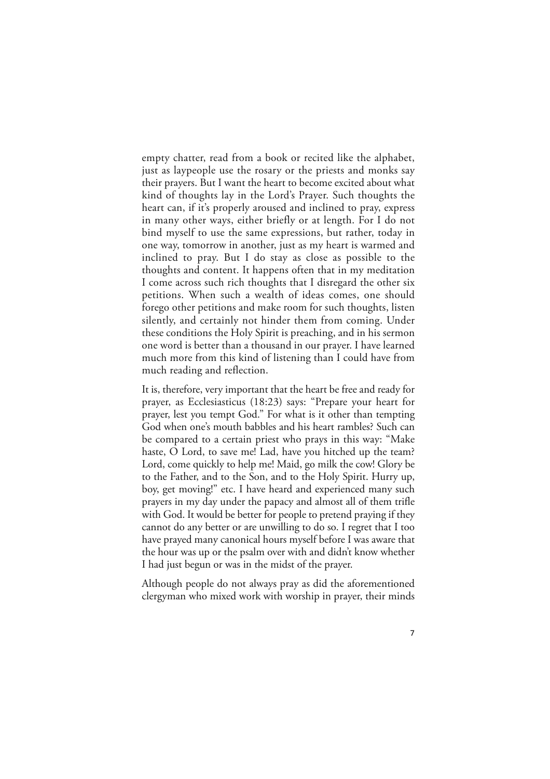empty chatter, read from a book or recited like the alphabet, just as laypeople use the rosary or the priests and monks say their prayers. But I want the heart to become excited about what kind of thoughts lay in the Lord's Prayer. Such thoughts the heart can, if it's properly aroused and inclined to pray, express in many other ways, either briefly or at length. For I do not bind myself to use the same expressions, but rather, today in one way, tomorrow in another, just as my heart is warmed and inclined to pray. But I do stay as close as possible to the thoughts and content. It happens often that in my meditation I come across such rich thoughts that I disregard the other six petitions. When such a wealth of ideas comes, one should forego other petitions and make room for such thoughts, listen silently, and certainly not hinder them from coming. Under these conditions the Holy Spirit is preaching, and in his sermon one word is better than a thousand in our prayer. I have learned much more from this kind of listening than I could have from much reading and reflection.

It is, therefore, very important that the heart be free and ready for prayer, as Ecclesiasticus (18:23) says: "Prepare your heart for prayer, lest you tempt God." For what is it other than tempting God when one's mouth babbles and his heart rambles? Such can be compared to a certain priest who prays in this way: "Make haste, O Lord, to save me! Lad, have you hitched up the team? Lord, come quickly to help me! Maid, go milk the cow! Glory be to the Father, and to the Son, and to the Holy Spirit. Hurry up, boy, get moving!" etc. I have heard and experienced many such prayers in my day under the papacy and almost all of them trifle with God. It would be better for people to pretend praying if they cannot do any better or are unwilling to do so. I regret that I too have prayed many canonical hours myself before I was aware that the hour was up or the psalm over with and didn't know whether I had just begun or was in the midst of the prayer.

Although people do not always pray as did the aforementioned clergyman who mixed work with worship in prayer, their minds